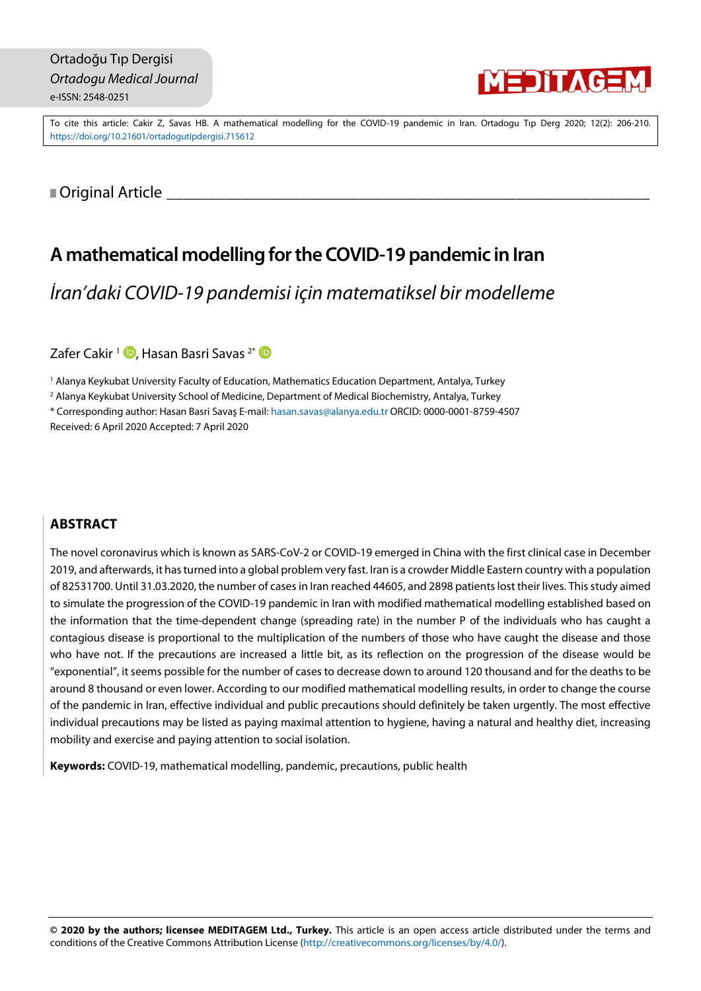

To cite this article: Cakir Z, Savas HB. A mathematical modelling for the COVID-19 pandemic in Iran. Ortadogu Tıp Derg 2020; 12(2): 206-210. <https://doi.org/10.21601/ortadogutipdergisi.715612>

<span id="page-0-0"></span>■ Original Article

# **A mathematical modelling fortheCOVID-19 pandemic in Iran**

*İran'daki COVID-19 pandemisi için matematiksel bir modelleme*

Zafer Cakir<sup>1</sup> D[,](https://orcid.org/0000-0003-4002-2338) Hasan Basri Savas<sup>2\*</sup> D

<sup>1</sup> Alanya Keykubat University Faculty of Education, Mathematics Education Department, Antalya, Turkey

<sup>2</sup> Alanya Keykubat University School of Medicine, Department of Medical Biochemistry, Antalya, Turkey

\* Corresponding author: Hasan Basri Savaş E-mail: [hasan.savas@alanya.edu.tr](mailto:hasan.savas@alanya.edu.tr) ORCID: 0000-0001-8759-4507

Received: 6 April 2020 Accepted: 7 April 2020

# **ABSTRACT**

The novel coronavirus which is known as SARS-CoV-2 or COVID-19 emerged in China with the first clinical case in December 2019, and afterwards, it hasturned into a global problem very fast. Iran is a crowder Middle Eastern country with a population of 82531700. Until 31.03.2020, the number of casesin Iran reached 44605, and 2898 patientslost their lives. Thisstudy aimed to simulate the progression of the COVID-19 pandemic in Iran with modified mathematical modelling established based on the information that the time-dependent change (spreading rate) in the number P of the individuals who has caught a contagious disease is proportional to the multiplication of the numbers of those who have caught the disease and those who have not. If the precautions are increased a little bit, as its reflection on the progression of the disease would be "exponential", it seems possible for the number of cases to decrease down to around 120 thousand and for the deaths to be around 8 thousand or even lower. According to our modified mathematical modelling results, in order to change the course of the pandemic in Iran, effective individual and public precautions should definitely be taken urgently. The most effective individual precautions may be listed as paying maximal attention to hygiene, having a natural and healthy diet, increasing mobility and exercise and paying attention to social isolation.

**Keywords:** COVID-19, mathematical modelling, pandemic, precautions, public health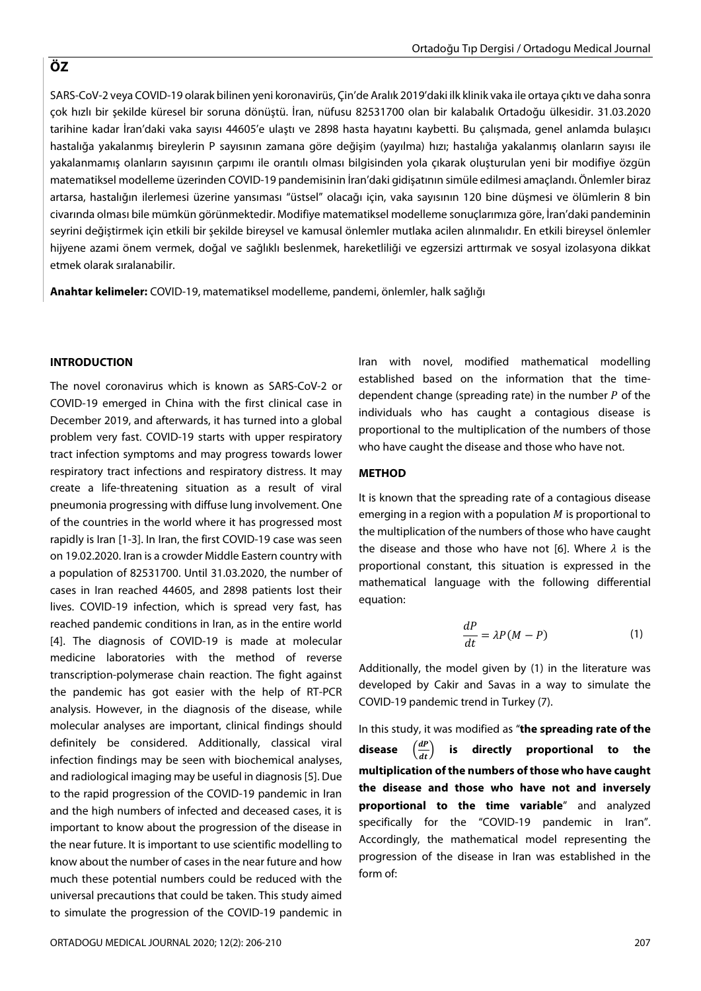SARS-CoV-2 veya COVID-19 olarak bilinen yeni koronavirüs, Çin'de Aralık 2019'daki ilk klinik vaka ile ortaya çıktı ve daha sonra çok hızlı bir şekilde küresel bir soruna dönüştü. İran, nüfusu 82531700 olan bir kalabalık Ortadoğu ülkesidir. 31.03.2020 tarihine kadar İran'daki vaka sayısı 44605'e ulaştı ve 2898 hasta hayatını kaybetti. Bu çalışmada, genel anlamda bulaşıcı hastalığa yakalanmış bireylerin P sayısının zamana göre değişim (yayılma) hızı; hastalığa yakalanmış olanların sayısı ile yakalanmamış olanların sayısının çarpımı ile orantılı olması bilgisinden yola çıkarak oluşturulan yeni bir modifiye özgün matematiksel modelleme üzerinden COVID-19 pandemisinin İran'daki gidişatının simüle edilmesi amaçlandı. Önlemler biraz artarsa, hastalığın ilerlemesi üzerine yansıması "üstsel" olacağı için, vaka sayısının 120 bine düşmesi ve ölümlerin 8 bin civarında olması bile mümkün görünmektedir. Modifiye matematiksel modelleme sonuçlarımıza göre, İran'daki pandeminin seyrini değiştirmek için etkili bir şekilde bireysel ve kamusal önlemler mutlaka acilen alınmalıdır. En etkili bireysel önlemler hijyene azami önem vermek, doğal ve sağlıklı beslenmek, hareketliliği ve egzersizi arttırmak ve sosyal izolasyona dikkat etmek olarak sıralanabilir.

**Anahtar kelimeler:** COVID-19, matematiksel modelleme, pandemi, önlemler, halk sağlığı

#### **INTRODUCTION**

The novel coronavirus which is known as SARS-CoV-2 or COVID-19 emerged in China with the first clinical case in December 2019, and afterwards, it has turned into a global problem very fast. COVID-19 starts with upper respiratory tract infection symptoms and may progress towards lower respiratory tract infections and respiratory distress. It may create a life-threatening situation as a result of viral pneumonia progressing with diffuse lung involvement. One of the countries in the world where it has progressed most rapidly is Iran [1-3]. In Iran, the first COVID-19 case was seen on 19.02.2020. Iran is a crowder Middle Eastern country with a population of 82531700. Until 31.03.2020, the number of cases in Iran reached 44605, and 2898 patients lost their lives. COVID-19 infection, which is spread very fast, has reached pandemic conditions in Iran, as in the entire world [4]. The diagnosis of COVID-19 is made at molecular medicine laboratories with the method of reverse transcription-polymerase chain reaction. The fight against the pandemic has got easier with the help of RT-PCR analysis. However, in the diagnosis of the disease, while molecular analyses are important, clinical findings should definitely be considered. Additionally, classical viral infection findings may be seen with biochemical analyses, and radiological imaging may be useful in diagnosis[5]. Due to the rapid progression of the COVID-19 pandemic in Iran and the high numbers of infected and deceased cases, it is important to know about the progression of the disease in the near future. It is important to use scientific modelling to know about the number of cases in the near future and how much these potential numbers could be reduced with the universal precautions that could be taken. This study aimed to simulate the progression of the COVID-19 pandemic in

Iran with novel, modified mathematical modelling established based on the information that the timedependent change (spreading rate) in the number  $P$  of the individuals who has caught a contagious disease is proportional to the multiplication of the numbers of those who have caught the disease and those who have not.

# **METHOD**

It is known that the spreading rate of a contagious disease emerging in a region with a population  $M$  is proportional to the multiplication of the numbers of those who have caught the disease and those who have not [6]. Where  $\lambda$  is the proportional constant, this situation is expressed in the mathematical language with the following differential equation:

$$
\frac{dP}{dt} = \lambda P(M - P) \tag{1}
$$

Additionally, the model given by (1) in the literature was developed by Cakir and Savas in a way to simulate the COVID-19 pandemic trend in Turkey (7).

In this study, it was modified as "**the spreading rate of the**  $\frac{dP}{dt}$  is directly proportional to the **multiplication of the numbers of those who have caught the disease and those who have not and inversely proportional to the time variable**" and analyzed specifically for the "COVID-19 pandemic in Iran". Accordingly, the mathematical model representing the progression of the disease in Iran was established in the form of:

# **ÖZ**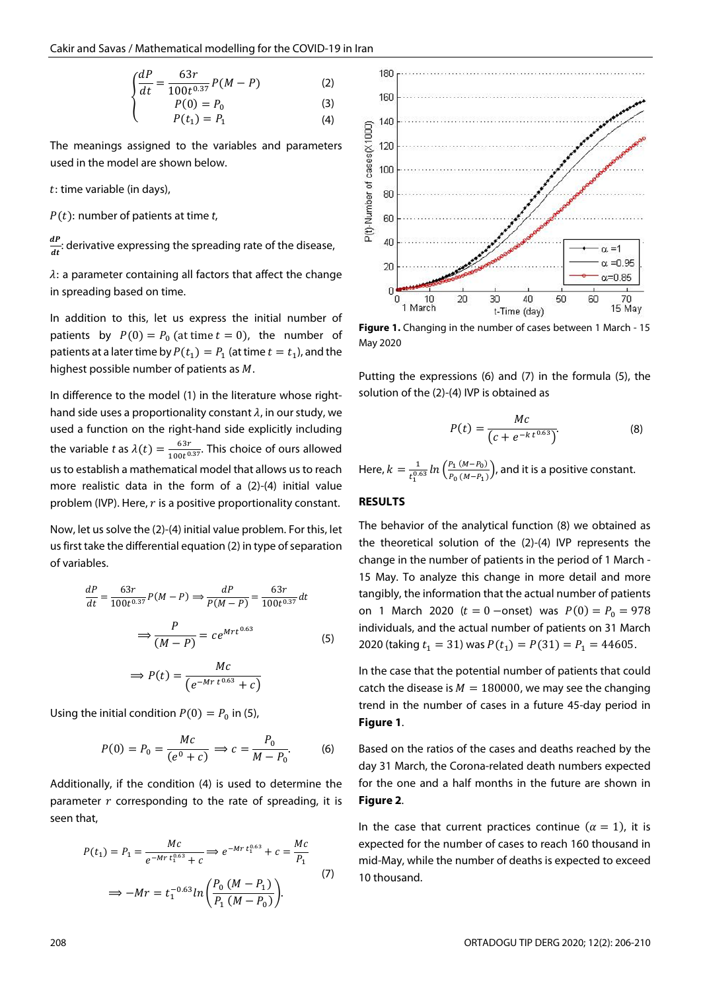$$
\begin{cases}\n\frac{dP}{dt} = \frac{63r}{100t^{0.37}}P(M - P) & (2) \\
P(0) = P_0 & (3)\n\end{cases}
$$

$$
P(0) = P_0
$$
  
\n
$$
P(t_1) = P_1
$$
\n(3)

The meanings assigned to the variables and parameters used in the model are shown below.

 $t$ : time variable (in days),

 $P(t)$ : number of patients at time *t*,

<u>ар</u>  $\frac{di}{dt}$ : derivative expressing the spreading rate of the disease,

 $\lambda$ : a parameter containing all factors that affect the change in spreading based on time.

In addition to this, let us express the initial number of patients by  $P(0) = P_0$  (at time  $t = 0$ ), the number of patients at a later time by  $P(t_1) = P_1$  (at time  $t = t_1$ ), and the highest possible number of patients as  $M$ .

In difference to the model (1) in the literature whose righthand side uses a proportionality constant  $\lambda$ , in our study, we used a function on the right-hand side explicitly including the variable *t* as  $\lambda(t) = \frac{63r}{100t^{0.37}}$ . This choice of ours allowed us to establish a mathematical model that allows us to reach more realistic data in the form of a (2)-(4) initial value problem (IVP). Here,  $r$  is a positive proportionality constant.

Now, let us solve the (2)-(4) initial value problem. For this, let us first take the differential equation (2) in type of separation of variables.

$$
\frac{dP}{dt} = \frac{63r}{100t^{0.37}}P(M - P) \Rightarrow \frac{dP}{P(M - P)} = \frac{63r}{100t^{0.37}}dt
$$

$$
\Rightarrow \frac{P}{(M - P)} = ce^{Mrt^{0.63}}
$$
(5)

$$
\Rightarrow P(t) = \frac{Mc}{\left(e^{-Mr\,t^{0.63}} + c\right)}
$$

Using the initial condition  $P(0) = P_0$  in (5),

$$
P(0) = P_0 = \frac{Mc}{(e^0 + c)} \implies c = \frac{P_0}{M - P_0}.
$$
 (6)

Additionally, if the condition (4) is used to determine the parameter  $r$  corresponding to the rate of spreading, it is seen that,

$$
P(t_1) = P_1 = \frac{Mc}{e^{-Mr t_1^{0.63}} + c} \Rightarrow e^{-Mr t_1^{0.63}} + c = \frac{Mc}{P_1}
$$
  

$$
\Rightarrow -Mr = t_1^{-0.63} ln\left(\frac{P_0 (M - P_1)}{P_1 (M - P_0)}\right).
$$
 (7)



**Figure 1.** Changing in the number of cases between 1 March - 15 May 2020

Putting the expressions (6) and (7) in the formula (5), the solution of the (2)-(4) IVP is obtained as

$$
P(t) = \frac{Mc}{(c + e^{-k t^{0.63}})}.
$$
 (8)

Here,  $k = \frac{1}{t_1^{0.63}} ln\left(\frac{P_1 (M - P_0)}{P_0 (M - P_1)}\right)$  $\frac{P_1(\mu-P_0)}{P_0(\mu-P_1)}$ , and it is a positive constant.

#### **RESULTS**

The behavior of the analytical function (8) we obtained as the theoretical solution of the (2)-(4) IVP represents the change in the number of patients in the period of 1 March - 15 May. To analyze this change in more detail and more tangibly, the information that the actual number of patients on 1 March 2020 ( $t = 0$  –onset) was  $P(0) = P_0 = 978$ individuals, and the actual number of patients on 31 March 2020 (taking  $t_1 = 31$ ) was  $P(t_1) = P(31) = P_1 = 44605$ .

In the case that the potential number of patients that could catch the disease is  $M = 180000$ , we may see the changing trend in the number of cases in a future 45-day period in **Figure 1**.

Based on the ratios of the cases and deaths reached by the day 31 March, the Corona-related death numbers expected for the one and a half months in the future are shown in **Figure 2**.

In the case that current practices continue ( $\alpha = 1$ ), it is expected for the number of cases to reach 160 thousand in mid-May, while the number of deaths is expected to exceed 10 thousand.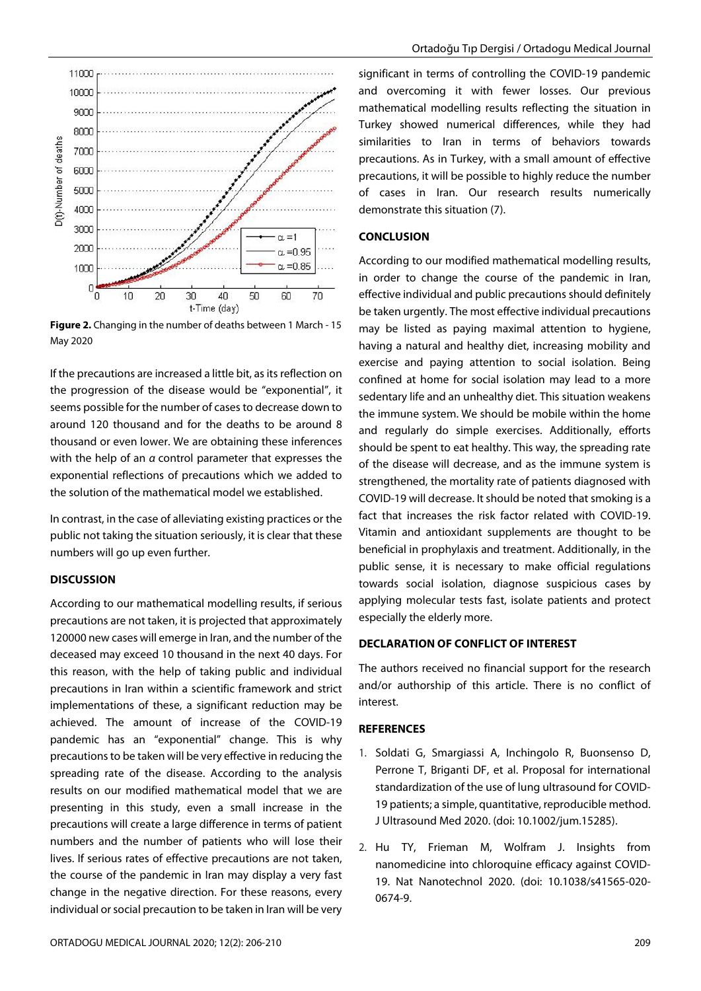

**Figure 2.** Changing in the number of deaths between 1 March - 15 May 2020

If the precautions are increased a little bit, as its reflection on the progression of the disease would be "exponential", it seems possible for the number of cases to decrease down to around 120 thousand and for the deaths to be around 8 thousand or even lower. We are obtaining these inferences with the help of an *α* control parameter that expresses the exponential reflections of precautions which we added to the solution of the mathematical model we established.

In contrast, in the case of alleviating existing practices or the public not taking the situation seriously, it is clear that these numbers will go up even further.

# **DISCUSSION**

11000 10000 9000

According to our mathematical modelling results, if serious precautions are not taken, it is projected that approximately 120000 new cases will emerge in Iran, and the number of the deceased may exceed 10 thousand in the next 40 days. For this reason, with the help of taking public and individual precautions in Iran within a scientific framework and strict implementations of these, a significant reduction may be achieved. The amount of increase of the COVID-19 pandemic has an "exponential" change. This is why precautions to be taken will be very effective in reducing the spreading rate of the disease. According to the analysis results on our modified mathematical model that we are presenting in this study, even a small increase in the precautions will create a large difference in terms of patient numbers and the number of patients who will lose their lives. If serious rates of effective precautions are not taken, the course of the pandemic in Iran may display a very fast change in the negative direction. For these reasons, every individual or social precaution to be taken in Iran will be very

significant in terms of controlling the COVID-19 pandemic and overcoming it with fewer losses. Our previous mathematical modelling results reflecting the situation in Turkey showed numerical differences, while they had similarities to Iran in terms of behaviors towards precautions. As in Turkey, with a small amount of effective precautions, it will be possible to highly reduce the number of cases in Iran. Our research results numerically demonstrate this situation (7).

## **CONCLUSION**

According to our modified mathematical modelling results, in order to change the course of the pandemic in Iran, effective individual and public precautions should definitely be taken urgently. The most effective individual precautions may be listed as paying maximal attention to hygiene, having a natural and healthy diet, increasing mobility and exercise and paying attention to social isolation. Being confined at home for social isolation may lead to a more sedentary life and an unhealthy diet. This situation weakens the immune system. We should be mobile within the home and regularly do simple exercises. Additionally, efforts should be spent to eat healthy. This way, the spreading rate of the disease will decrease, and as the immune system is strengthened, the mortality rate of patients diagnosed with COVID-19 will decrease. It should be noted that smoking is a fact that increases the risk factor related with COVID-19. Vitamin and antioxidant supplements are thought to be beneficial in prophylaxis and treatment. Additionally, in the public sense, it is necessary to make official regulations towards social isolation, diagnose suspicious cases by applying molecular tests fast, isolate patients and protect especially the elderly more.

## **DECLARATION OF CONFLICT OF INTEREST**

The authors received no financial support for the research and/or authorship of this article. There is no conflict of interest.

## **REFERENCES**

- 1. Soldati G, Smargiassi A, Inchingolo R, Buonsenso D, Perrone T, Briganti DF, et al. Proposal for international standardization of the use of lung ultrasound for COVID-19 patients; a simple, quantitative, reproducible method. J Ultrasound Med 2020. (doi: 10.1002/jum.15285).
- 2. Hu TY, Frieman M, Wolfram J. Insights from nanomedicine into chloroquine efficacy against COVID-19. Nat Nanotechnol 2020. (doi: 10.1038/s41565-020- 0674-9.